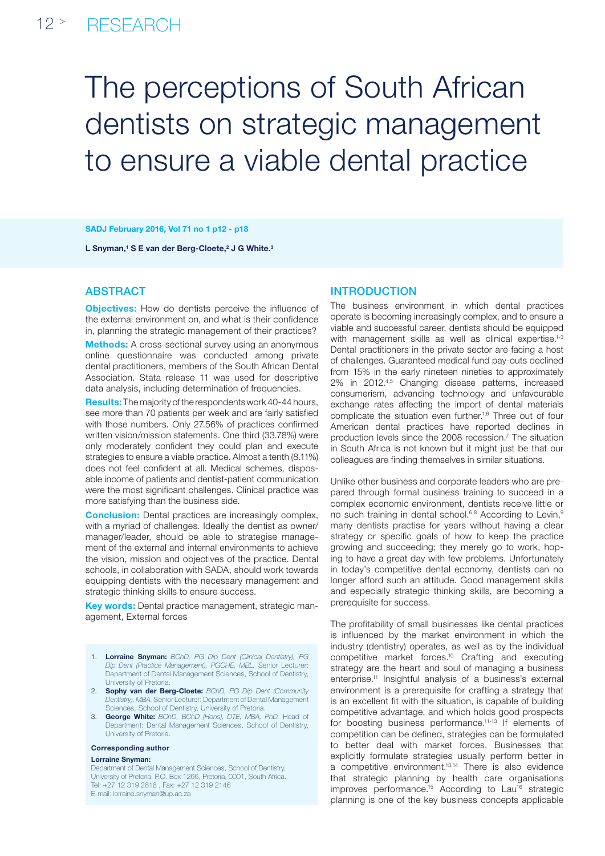#### $12$  > **RESEARCH**

# The perceptions of South African dentists on strategic management to ensure a viable dental practice

#### SADJ February 2016, Vol 71 no 1 p12 - p18

L Snyman,<sup>1</sup> S E van der Berg-Cloete,<sup>2</sup> J G White.<sup>3</sup>

# **ABSTRACT**

**Objectives:** How do dentists perceive the influence of the external environment on, and what is their confidence in, planning the strategic management of their practices?

**Methods:** A cross-sectional survey using an anonymous online questionnaire was conducted among private dental practitioners, members of the South African Dental Association. Stata release 11 was used for descriptive data analysis, including determination of frequencies.

Results: The majority of the respondents work 40-44 hours, see more than 70 patients per week and are fairly satisfied with those numbers. Only 27.56% of practices confirmed written vision/mission statements. One third (33.78%) were only moderately confident they could plan and execute strategies to ensure a viable practice. Almost a tenth (8.11%) does not feel confident at all. Medical schemes, disposable income of patients and dentist-patient communication were the most significant challenges. Clinical practice was more satisfying than the business side.

**Conclusion:** Dental practices are increasingly complex, with a myriad of challenges. Ideally the dentist as owner/ manager/leader, should be able to strategise management of the external and internal environments to achieve the vision, mission and objectives of the practice. Dental schools, in collaboration with SADA, should work towards equipping dentists with the necessary management and strategic thinking skills to ensure success.

Key words: Dental practice management, strategic management, External forces

- 1. Lorraine Snyman: *BChD, PG Dip Dent (Clinical Dentistry), PG Dip Dent (Practice Management), PGCHE, MBL.* Senior Lecturer: Department of Dental Management Sciences, School of Dentistry, University of Pretoria.
- 2. Sophy van der Berg-Cloete: *BChD, PG Dip Dent (Community Dentistry), MBA.*Senior Lecturer: Department of Dental Management Sciences, School of Dentistry, University of Pretoria.
- 3. George White: *BChD, BChD (Hons), DTE, MBA, PhD.* Head of Department: Dental Management Sciences, School of Dentistry, University of Pretoria.

#### Corresponding author

#### Lorraine Snyman:

Department of Dental Management Sciences, School of Dentistry, University of Pretoria, P.O. Box 1266, Pretoria, 0001, South Africa. Tel: +27 12 319 2616 , Fax: +27 12 319 2146 E-mail: lorraine.snyman@up.ac.za

## **INTRODUCTION**

The business environment in which dental practices operate is becoming increasingly complex, and to ensure a viable and successful career, dentists should be equipped with management skills as well as clinical expertise.<sup>1-3</sup> Dental practitioners in the private sector are facing a host of challenges. Guaranteed medical fund pay-outs declined from 15% in the early nineteen nineties to approximately 2% in 2012.4,5 Changing disease patterns, increased consumerism, advancing technology and unfavourable exchange rates affecting the import of dental materials complicate the situation even further.<sup>1,6</sup> Three out of four American dental practices have reported declines in production levels since the 2008 recession.<sup>7</sup> The situation in South Africa is not known but it might just be that our colleagues are finding themselves in similar situations.

Unlike other business and corporate leaders who are prepared through formal business training to succeed in a complex economic environment, dentists receive little or no such training in dental school.<sup>6,8</sup> According to Levin,<sup>9</sup> many dentists practise for years without having a clear strategy or specific goals of how to keep the practice growing and succeeding; they merely go to work, hoping to have a great day with few problems. Unfortunately in today's competitive dental economy, dentists can no longer afford such an attitude. Good management skills and especially strategic thinking skills, are becoming a prerequisite for success.

The profitability of small businesses like dental practices is influenced by the market environment in which the industry (dentistry) operates, as well as by the individual competitive market forces.10 Crafting and executing strategy are the heart and soul of managing a business enterprise.11 Insightful analysis of a business's external environment is a prerequisite for crafting a strategy that is an excellent fit with the situation, is capable of building competitive advantage, and which holds good prospects for boosting business performance.11-13 If elements of competition can be defined, strategies can be formulated to better deal with market forces. Businesses that explicitly formulate strategies usually perform better in a competitive environment.13,14 There is also evidence that strategic planning by health care organisations improves performance.<sup>15</sup> According to Lau<sup>16</sup> strategic planning is one of the key business concepts applicable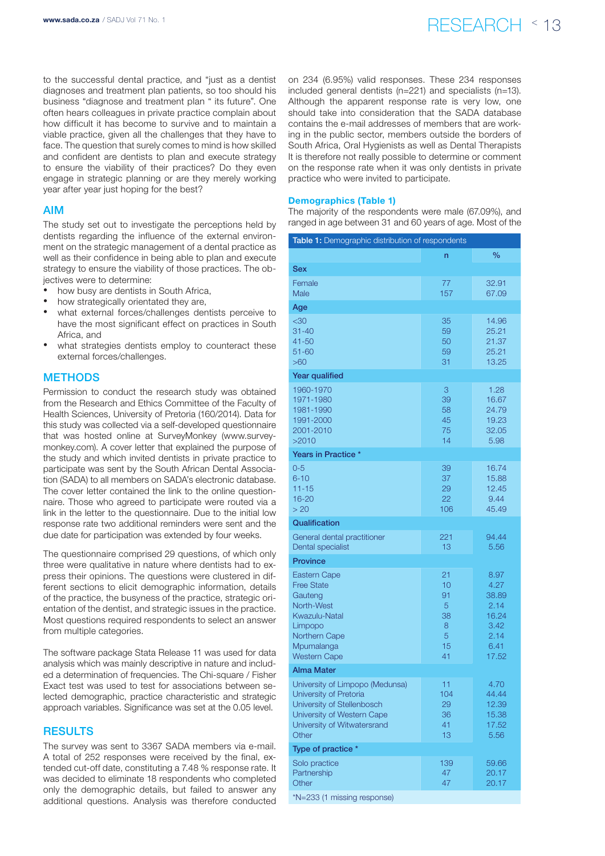# www.sada.co.za / SADJ Vol 71 No. 1  $\mathsf{RESEARCH}$   $\uparrow$  13

to the successful dental practice, and "just as a dentist diagnoses and treatment plan patients, so too should his business "diagnose and treatment plan " its future". One often hears colleagues in private practice complain about how difficult it has become to survive and to maintain a viable practice, given all the challenges that they have to face. The question that surely comes to mind is how skilled and confident are dentists to plan and execute strategy to ensure the viability of their practices? Do they even engage in strategic planning or are they merely working year after year just hoping for the best?

# AIM

The study set out to investigate the perceptions held by dentists regarding the influence of the external environment on the strategic management of a dental practice as well as their confidence in being able to plan and execute strategy to ensure the viability of those practices. The objectives were to determine:

- how busy are dentists in South Africa,
- how strategically orientated they are,
- what external forces/challenges dentists perceive to have the most significant effect on practices in South Africa, and
- what strategies dentists employ to counteract these external forces/challenges.

# **METHODS**

Permission to conduct the research study was obtained from the Research and Ethics Committee of the Faculty of Health Sciences, University of Pretoria (160/2014). Data for this study was collected via a self-developed questionnaire that was hosted online at SurveyMonkey (www.surveymonkey.com). A cover letter that explained the purpose of the study and which invited dentists in private practice to participate was sent by the South African Dental Association (SADA) to all members on SADA's electronic database. The cover letter contained the link to the online questionnaire. Those who agreed to participate were routed via a link in the letter to the questionnaire. Due to the initial low response rate two additional reminders were sent and the due date for participation was extended by four weeks.

The questionnaire comprised 29 questions, of which only three were qualitative in nature where dentists had to express their opinions. The questions were clustered in different sections to elicit demographic information, details of the practice, the busyness of the practice, strategic orientation of the dentist, and strategic issues in the practice. Most questions required respondents to select an answer from multiple categories.

The software package Stata Release 11 was used for data analysis which was mainly descriptive in nature and included a determination of frequencies. The Chi-square / Fisher Exact test was used to test for associations between selected demographic, practice characteristic and strategic approach variables. Significance was set at the 0.05 level.

# **RESULTS**

The survey was sent to 3367 SADA members via e-mail. A total of 252 responses were received by the final, extended cut-off date, constituting a 7.48 % response rate. It was decided to eliminate 18 respondents who completed only the demographic details, but failed to answer any additional questions. Analysis was therefore conducted on 234 (6.95%) valid responses. These 234 responses included general dentists (n=221) and specialists (n=13). Although the apparent response rate is very low, one should take into consideration that the SADA database contains the e-mail addresses of members that are working in the public sector, members outside the borders of South Africa, Oral Hygienists as well as Dental Therapists It is therefore not really possible to determine or comment on the response rate when it was only dentists in private practice who were invited to participate.

#### Demographics (Table 1)

The majority of the respondents were male (67.09%), and ranged in age between 31 and 60 years of age. Most of the

| Table 1: Demographic distribution of respondents     |           |                |
|------------------------------------------------------|-----------|----------------|
|                                                      | n         | $\%$           |
| <b>Sex</b>                                           |           |                |
| Female                                               | 77        | 32.91          |
| Male                                                 | 157       | 67.09          |
| Age                                                  |           |                |
| <30<br>$31 - 40$                                     | 35<br>59  | 14.96<br>25.21 |
| $41 - 50$                                            | 50        | 21.37          |
| $51 - 60$                                            | 59        | 25.21          |
| >60                                                  | 31        | 13.25          |
| <b>Year qualified</b>                                |           |                |
| 1960-1970<br>1971-1980                               | 3<br>39   | 1.28<br>16.67  |
| 1981-1990                                            | 58        | 24.79          |
| 1991-2000                                            | 45        | 19.23          |
| 2001-2010<br>>2010                                   | 75<br>14  | 32.05<br>5.98  |
| Years in Practice *                                  |           |                |
| $0 - 5$                                              | 39        | 16.74          |
| $6 - 10$                                             | 37        | 15.88          |
| $11 - 15$                                            | 29        | 12.45          |
| 16-20<br>> 20                                        | 22<br>106 | 9.44<br>45.49  |
| Qualification                                        |           |                |
| General dental practitioner                          | 221       | 94.44          |
| Dental specialist                                    | 13        | 5.56           |
| <b>Province</b>                                      |           |                |
| <b>Eastern Cape</b>                                  | 21        | 8.97           |
| <b>Free State</b><br>Gauteng                         | 10<br>91  | 4.27<br>38.89  |
| North-West                                           | 5         | 2.14           |
| Kwazulu-Natal                                        | 38        | 16.24          |
| Limpopo<br>Northern Cape                             | 8<br>5    | 3.42<br>2.14   |
| Mpumalanga                                           | 15        | 6.41           |
| <b>Western Cape</b>                                  | 41        | 17.52          |
| <b>Alma Mater</b>                                    |           |                |
| University of Limpopo (Medunsa)                      | 11<br>104 | 4.70           |
| University of Pretoria<br>University of Stellenbosch | 29        | 44.44<br>12.39 |
| University of Western Cape                           | 36        | 15.38          |
| University of Witwatersrand<br>Other                 | 41<br>13  | 17.52<br>5.56  |
| Type of practice *                                   |           |                |
| Solo practice                                        | 139       | 59.66          |
| Partnership                                          | 47        | 20.17          |
| Other                                                | 47        | 20.17          |
| *N=233 (1 missing response)                          |           |                |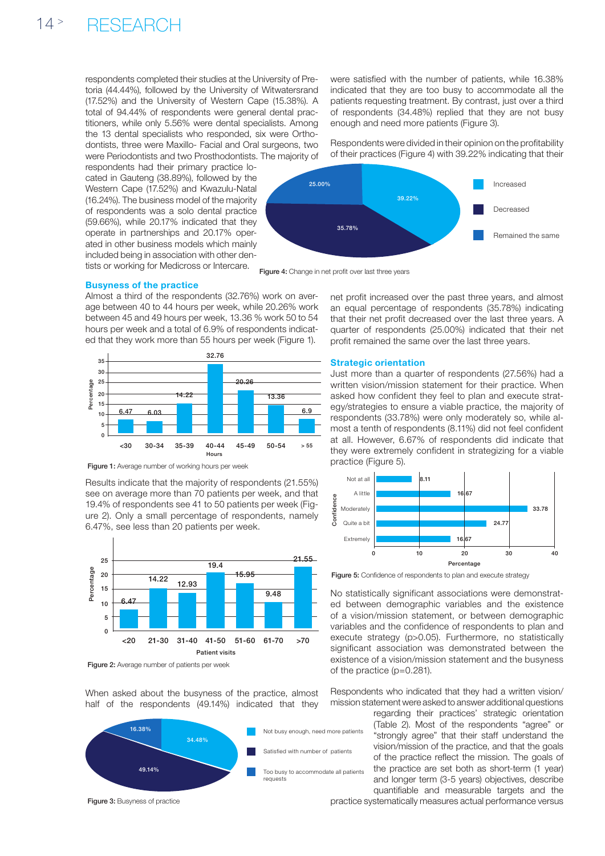respondents completed their studies at the University of Pretoria (44.44%), followed by the University of Witwatersrand (17.52%) and the University of Western Cape (15.38%). A total of 94.44% of respondents were general dental practitioners, while only 5.56% were dental specialists. Among the 13 dental specialists who responded, six were Orthodontists, three were Maxillo- Facial and Oral surgeons, two were Periodontists and two Prosthodontists. The majority of

respondents had their primary practice located in Gauteng (38.89%), followed by the Western Cape (17.52%) and Kwazulu-Natal (16.24%). The business model of the majority of respondents was a solo dental practice (59.66%), while 20.17% indicated that they operate in partnerships and 20.17% operated in other business models which mainly included being in association with other dentists or working for Medicross or Intercare.

were satisfied with the number of patients, while 16.38% indicated that they are too busy to accommodate all the patients requesting treatment. By contrast, just over a third of respondents (34.48%) replied that they are not busy enough and need more patients (Figure 3).

Respondents were divided in their opinion on the profitability of their practices (Figure 4) with 39.22% indicating that their



Figure 4: Change in net profit over last three years

### Busyness of the practice

Almost a third of the respondents (32.76%) work on average between 40 to 44 hours per week, while 20.26% work between 45 and 49 hours per week, 13.36 % work 50 to 54 hours per week and a total of 6.9% of respondents indicated that they work more than 55 hours per week (Figure 1).



Figure 1: Average number of working hours per week

Results indicate that the majority of respondents (21.55%) see on average more than 70 patients per week, and that 19.4% of respondents see 41 to 50 patients per week (Figure 2). Only a small percentage of respondents, namely 6.47%, see less than 20 patients per week.



Figure 2: Average number of patients per week

When asked about the busyness of the practice, almost half of the respondents (49.14%) indicated that they



Figure 3: Busyness of practice

net profit increased over the past three years, and almost an equal percentage of respondents (35.78%) indicating that their net profit decreased over the last three years. A quarter of respondents (25.00%) indicated that their net profit remained the same over the last three years.

#### Strategic orientation

Just more than a quarter of respondents (27.56%) had a written vision/mission statement for their practice. When asked how confident they feel to plan and execute strategy/strategies to ensure a viable practice, the majority of respondents (33.78%) were only moderately so, while almost a tenth of respondents (8.11%) did not feel confident at all. However, 6.67% of respondents did indicate that they were extremely confident in strategizing for a viable practice (Figure 5).



Figure 5: Confidence of respondents to plan and execute strategy

No statistically significant associations were demonstrated between demographic variables and the existence of a vision/mission statement, or between demographic variables and the confidence of respondents to plan and execute strategy (p>0.05). Furthermore, no statistically significant association was demonstrated between the existence of a vision/mission statement and the busyness of the practice (p=0.281).

Respondents who indicated that they had a written vision/ mission statement were asked to answer additional questions

> regarding their practices' strategic orientation (Table 2). Most of the respondents "agree" or "strongly agree" that their staff understand the vision/mission of the practice, and that the goals of the practice reflect the mission. The goals of the practice are set both as short-term (1 year) and longer term (3-5 years) objectives, describe quantifiable and measurable targets and the

practice systematically measures actual performance versus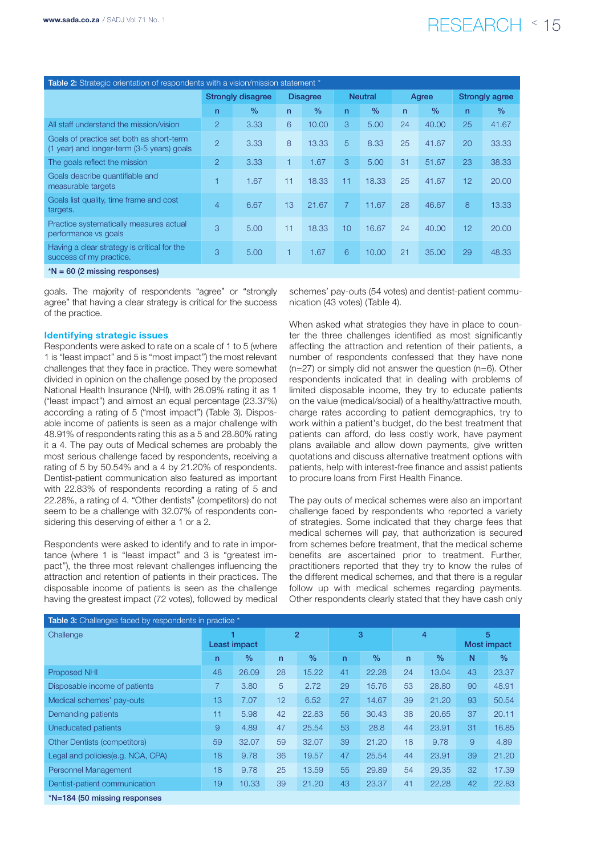# www.sada.co.za / SADJ Vol 71 No. 1  $\mathsf{RESEARCH}$   $\leq$  15

| Table 2: Strategic orientation of respondents with a vision/mission statement *        |                          |               |                 |               |                |               |              |               |                       |               |
|----------------------------------------------------------------------------------------|--------------------------|---------------|-----------------|---------------|----------------|---------------|--------------|---------------|-----------------------|---------------|
|                                                                                        | <b>Strongly disagree</b> |               | <b>Disagree</b> |               | <b>Neutral</b> |               | Agree        |               | <b>Strongly agree</b> |               |
|                                                                                        | n                        | $\frac{0}{0}$ | $\mathsf{n}$    | $\frac{0}{0}$ | n              | $\frac{0}{0}$ | $\mathsf{n}$ | $\frac{0}{0}$ | $\mathsf{n}$          | $\frac{0}{0}$ |
| All staff understand the mission/vision                                                | $\overline{2}$           | 3.33          | 6               | 10.00         | 3              | 5.00          | 24           | 40.00         | 25                    | 41.67         |
| Goals of practice set both as short-term<br>(1 year) and longer-term (3-5 years) goals | $\overline{2}$           | 3.33          | 8               | 13.33         | 5              | 8.33          | 25           | 41.67         | 20                    | 33.33         |
| The goals reflect the mission                                                          | $\overline{2}$           | 3.33          | 1               | 1.67          | 3              | 5.00          | 31           | 51.67         | 23                    | 38.33         |
| Goals describe quantifiable and<br>measurable targets                                  |                          | 1.67          | 11              | 18.33         | 11             | 18.33         | 25           | 41.67         | 12                    | 20.00         |
| Goals list quality, time frame and cost<br>targets.                                    | 4                        | 6.67          | 13              | 21.67         | $\overline{7}$ | 11.67         | 28           | 46.67         | 8                     | 13.33         |
| Practice systematically measures actual<br>performance vs goals                        | 3                        | 5.00          | 11              | 18.33         | 10             | 16.67         | 24           | 40.00         | 12                    | 20.00         |
| Having a clear strategy is critical for the<br>success of my practice.                 | 3                        | 5.00          | 1               | 1.67          | 6              | 10.00         | 21           | 35.00         | 29                    | 48.33         |
| $N = 60$ (2 missing responses)                                                         |                          |               |                 |               |                |               |              |               |                       |               |

goals. The majority of respondents "agree" or "strongly agree" that having a clear strategy is critical for the success of the practice.

#### Identifying strategic issues

Respondents were asked to rate on a scale of 1 to 5 (where 1 is "least impact" and 5 is "most impact") the most relevant challenges that they face in practice. They were somewhat divided in opinion on the challenge posed by the proposed National Health Insurance (NHI), with 26.09% rating it as 1 ("least impact") and almost an equal percentage (23.37%) according a rating of 5 ("most impact") (Table 3). Disposable income of patients is seen as a major challenge with 48.91% of respondents rating this as a 5 and 28.80% rating it a 4. The pay outs of Medical schemes are probably the most serious challenge faced by respondents, receiving a rating of 5 by 50.54% and a 4 by 21.20% of respondents. Dentist-patient communication also featured as important with 22.83% of respondents recording a rating of 5 and 22.28%, a rating of 4. "Other dentists" (competitors) do not seem to be a challenge with 32.07% of respondents considering this deserving of either a 1 or a 2.

Respondents were asked to identify and to rate in importance (where 1 is "least impact" and 3 is "greatest impact"), the three most relevant challenges influencing the attraction and retention of patients in their practices. The disposable income of patients is seen as the challenge having the greatest impact (72 votes), followed by medical schemes' pay-outs (54 votes) and dentist-patient communication (43 votes) (Table 4).

When asked what strategies they have in place to counter the three challenges identified as most significantly affecting the attraction and retention of their patients, a number of respondents confessed that they have none  $(n=27)$  or simply did not answer the question  $(n=6)$ . Other respondents indicated that in dealing with problems of limited disposable income, they try to educate patients on the value (medical/social) of a healthy/attractive mouth, charge rates according to patient demographics, try to work within a patient's budget, do the best treatment that patients can afford, do less costly work, have payment plans available and allow down payments, give written quotations and discuss alternative treatment options with patients, help with interest-free finance and assist patients to procure loans from First Health Finance.

The pay outs of medical schemes were also an important challenge faced by respondents who reported a variety of strategies. Some indicated that they charge fees that medical schemes will pay, that authorization is secured from schemes before treatment, that the medical scheme benefits are ascertained prior to treatment. Further, practitioners reported that they try to know the rules of the different medical schemes, and that there is a regular follow up with medical schemes regarding payments. Other respondents clearly stated that they have cash only

| Table 3: Challenges faced by respondents in practice * |                |       |                |               |    |               |                |               |                    |               |
|--------------------------------------------------------|----------------|-------|----------------|---------------|----|---------------|----------------|---------------|--------------------|---------------|
| Challenge                                              |                |       | $\overline{2}$ |               | 3  |               | $\overline{4}$ |               | 5                  |               |
|                                                        | Least impact   |       |                |               |    |               |                |               | <b>Most impact</b> |               |
|                                                        | n              | $\%$  | $\mathsf{n}$   | $\frac{0}{0}$ | n  | $\frac{0}{0}$ | $\mathsf{n}$   | $\frac{0}{0}$ | N                  | $\frac{0}{0}$ |
| <b>Proposed NHI</b>                                    | 48             | 26.09 | 28             | 15.22         | 41 | 22.28         | 24             | 13.04         | 43                 | 23.37         |
| Disposable income of patients                          | $\overline{7}$ | 3.80  | 5              | 2.72          | 29 | 15.76         | 53             | 28.80         | 90                 | 48.91         |
| Medical schemes' pay-outs                              | 13             | 7.07  | 12             | 6.52          | 27 | 14.67         | 39             | 21.20         | 93                 | 50.54         |
| Demanding patients                                     | 11             | 5.98  | 42             | 22.83         | 56 | 30.43         | 38             | 20.65         | 37                 | 20.11         |
| Uneducated patients                                    | 9              | 4.89  | 47             | 25.54         | 53 | 28.8          | 44             | 23.91         | 31                 | 16.85         |
| <b>Other Dentists (competitors)</b>                    | 59             | 32.07 | 59             | 32.07         | 39 | 21.20         | 18             | 9.78          | $\overline{9}$     | 4.89          |
| Legal and policies(e.g. NCA, CPA)                      | 18             | 9.78  | 36             | 19.57         | 47 | 25.54         | 44             | 23.91         | 39                 | 21.20         |
| Personnel Management                                   | 18             | 9.78  | 25             | 13.59         | 55 | 29.89         | 54             | 29.35         | 32                 | 17.39         |
| Dentist-patient communication                          | 19             | 10.33 | 39             | 21.20         | 43 | 23.37         | 41             | 22.28         | 42                 | 22.83         |
| *N=184 (50 missing responses                           |                |       |                |               |    |               |                |               |                    |               |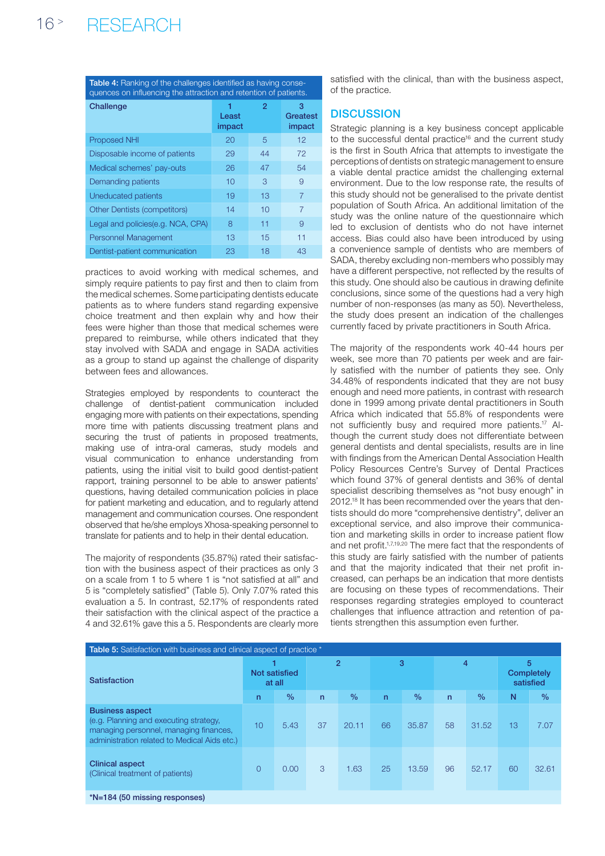Table 4: Ranking of the challenges identified as having consequences on influencing the attraction and retention of patients.

| Challenge                           | Least<br>impact | 2  | з<br>Greatest<br>impact |
|-------------------------------------|-----------------|----|-------------------------|
| <b>Proposed NHI</b>                 | 20              | 5  | 12                      |
| Disposable income of patients       | 29              | 44 | 72                      |
| Medical schemes' pay-outs           | 26              | 47 | 54                      |
| Demanding patients                  | 10              | 3  | 9                       |
| Uneducated patients                 | 19              | 13 | 7                       |
| <b>Other Dentists (competitors)</b> | 14              | 10 | $\overline{7}$          |
| Legal and policies (e.g. NCA, CPA)  | 8               | 11 | 9                       |
| <b>Personnel Management</b>         | 13              | 15 | 11                      |
| Dentist-patient communication       | 23              | 18 | 43                      |

practices to avoid working with medical schemes, and simply require patients to pay first and then to claim from the medical schemes. Some participating dentists educate patients as to where funders stand regarding expensive choice treatment and then explain why and how their fees were higher than those that medical schemes were prepared to reimburse, while others indicated that they stay involved with SADA and engage in SADA activities as a group to stand up against the challenge of disparity between fees and allowances.

Strategies employed by respondents to counteract the challenge of dentist-patient communication included engaging more with patients on their expectations, spending more time with patients discussing treatment plans and securing the trust of patients in proposed treatments, making use of intra-oral cameras, study models and visual communication to enhance understanding from patients, using the initial visit to build good dentist-patient rapport, training personnel to be able to answer patients' questions, having detailed communication policies in place for patient marketing and education, and to regularly attend management and communication courses. One respondent observed that he/she employs Xhosa-speaking personnel to translate for patients and to help in their dental education.

The majority of respondents (35.87%) rated their satisfaction with the business aspect of their practices as only 3 on a scale from 1 to 5 where 1 is "not satisfied at all" and 5 is "completely satisfied" (Table 5). Only 7.07% rated this evaluation a 5. In contrast, 52.17% of respondents rated their satisfaction with the clinical aspect of the practice a 4 and 32.61% gave this a 5. Respondents are clearly more satisfied with the clinical, than with the business aspect, of the practice.

# **DISCUSSION**

Strategic planning is a key business concept applicable to the successful dental practice<sup>16</sup> and the current study is the first in South Africa that attempts to investigate the perceptions of dentists on strategic management to ensure a viable dental practice amidst the challenging external environment. Due to the low response rate, the results of this study should not be generalised to the private dentist population of South Africa. An additional limitation of the study was the online nature of the questionnaire which led to exclusion of dentists who do not have internet access. Bias could also have been introduced by using a convenience sample of dentists who are members of SADA, thereby excluding non-members who possibly may have a different perspective, not reflected by the results of this study. One should also be cautious in drawing definite conclusions, since some of the questions had a very high number of non-responses (as many as 50). Nevertheless, the study does present an indication of the challenges currently faced by private practitioners in South Africa.

The majority of the respondents work 40-44 hours per week, see more than 70 patients per week and are fairly satisfied with the number of patients they see. Only 34.48% of respondents indicated that they are not busy enough and need more patients, in contrast with research done in 1999 among private dental practitioners in South Africa which indicated that 55.8% of respondents were not sufficiently busy and required more patients.17 Although the current study does not differentiate between general dentists and dental specialists, results are in line with findings from the American Dental Association Health Policy Resources Centre's Survey of Dental Practices which found 37% of general dentists and 36% of dental specialist describing themselves as "not busy enough" in 2012.18 It has been recommended over the years that dentists should do more "comprehensive dentistry", deliver an exceptional service, and also improve their communication and marketing skills in order to increase patient flow and net profit.1,7,19,20 The mere fact that the respondents of this study are fairly satisfied with the number of patients and that the majority indicated that their net profit increased, can perhaps be an indication that more dentists are focusing on these types of recommendations. Their responses regarding strategies employed to counteract challenges that influence attraction and retention of patients strengthen this assumption even further.

| <b>Table 5:</b> Satisfaction with business and clinical aspect of practice *                                                                               |                         |               |                |               |              |               |              |               |                              |               |
|------------------------------------------------------------------------------------------------------------------------------------------------------------|-------------------------|---------------|----------------|---------------|--------------|---------------|--------------|---------------|------------------------------|---------------|
| <b>Satisfaction</b>                                                                                                                                        | Not satisfied<br>at all |               | $\overline{2}$ |               | 3            |               | 4            |               | 5<br>Completely<br>satisfied |               |
|                                                                                                                                                            | $\mathsf{n}$            | $\frac{0}{0}$ | $\mathsf{n}$   | $\frac{0}{0}$ | $\mathsf{n}$ | $\frac{0}{0}$ | $\mathsf{n}$ | $\frac{0}{0}$ | N                            | $\frac{0}{0}$ |
| <b>Business aspect</b><br>(e.g. Planning and executing strategy,<br>managing personnel, managing finances,<br>administration related to Medical Aids etc.) | 10                      | 5.43          | 37             | 20.11         | 66           | 35.87         | 58           | 31.52         | 13                           | 7.07          |
| <b>Clinical aspect</b><br>(Clinical treatment of patients)                                                                                                 | $\Omega$                | 0.00          | 3              | 1.63          | 25           | 13.59         | 96           | 52.17         | 60                           | 32.61         |
| *N=184 (50 missing responses)                                                                                                                              |                         |               |                |               |              |               |              |               |                              |               |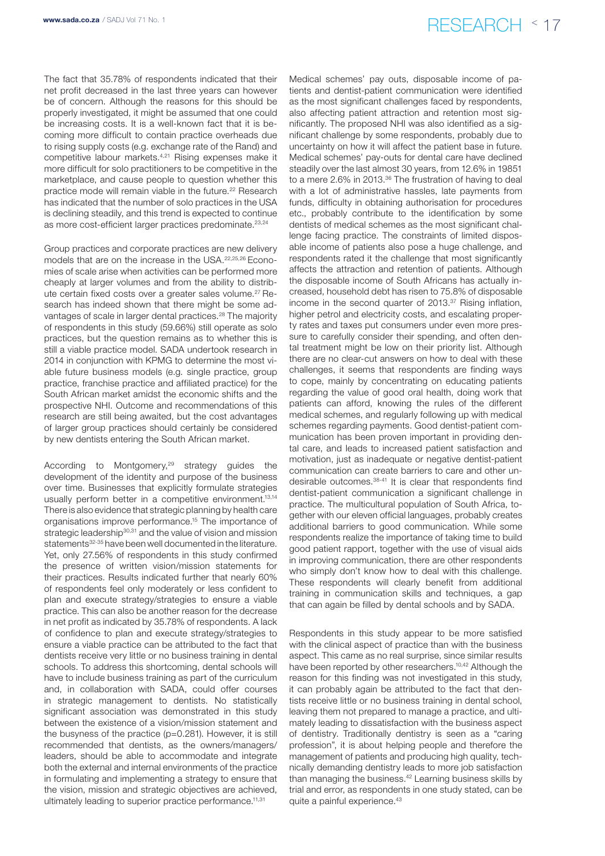The fact that 35.78% of respondents indicated that their net profit decreased in the last three years can however be of concern. Although the reasons for this should be properly investigated, it might be assumed that one could be increasing costs. It is a well-known fact that it is becoming more difficult to contain practice overheads due to rising supply costs (e.g. exchange rate of the Rand) and competitive labour markets.4,21 Rising expenses make it more difficult for solo practitioners to be competitive in the marketplace, and cause people to question whether this practice mode will remain viable in the future.<sup>22</sup> Research has indicated that the number of solo practices in the USA is declining steadily, and this trend is expected to continue as more cost-efficient larger practices predominate.<sup>23,24</sup>

Group practices and corporate practices are new delivery models that are on the increase in the USA.22,25,26 Economies of scale arise when activities can be performed more cheaply at larger volumes and from the ability to distribute certain fixed costs over a greater sales volume.27 Research has indeed shown that there might be some advantages of scale in larger dental practices.<sup>28</sup> The majority of respondents in this study (59.66%) still operate as solo practices, but the question remains as to whether this is still a viable practice model. SADA undertook research in 2014 in conjunction with KPMG to determine the most viable future business models (e.g. single practice, group practice, franchise practice and affiliated practice) for the South African market amidst the economic shifts and the prospective NHI. Outcome and recommendations of this research are still being awaited, but the cost advantages of larger group practices should certainly be considered by new dentists entering the South African market.

According to Montgomery,<sup>29</sup> strategy guides the development of the identity and purpose of the business over time. Businesses that explicitly formulate strategies usually perform better in a competitive environment.<sup>13,14</sup> There is also evidence that strategic planning by health care organisations improve performance.15 The importance of strategic leadership<sup>30,31</sup> and the value of vision and mission statements<sup>32-35</sup> have been well documented in the literature. Yet, only 27.56% of respondents in this study confirmed the presence of written vision/mission statements for their practices. Results indicated further that nearly 60% of respondents feel only moderately or less confident to plan and execute strategy/strategies to ensure a viable practice. This can also be another reason for the decrease in net profit as indicated by 35.78% of respondents. A lack of confidence to plan and execute strategy/strategies to ensure a viable practice can be attributed to the fact that dentists receive very little or no business training in dental schools. To address this shortcoming, dental schools will have to include business training as part of the curriculum and, in collaboration with SADA, could offer courses in strategic management to dentists. No statistically significant association was demonstrated in this study between the existence of a vision/mission statement and the busyness of the practice (p=0.281). However, it is still recommended that dentists, as the owners/managers/ leaders, should be able to accommodate and integrate both the external and internal environments of the practice in formulating and implementing a strategy to ensure that the vision, mission and strategic objectives are achieved, ultimately leading to superior practice performance.<sup>11,31</sup>

Medical schemes' pay outs, disposable income of patients and dentist-patient communication were identified as the most significant challenges faced by respondents, also affecting patient attraction and retention most significantly. The proposed NHI was also identified as a significant challenge by some respondents, probably due to uncertainty on how it will affect the patient base in future. Medical schemes' pay-outs for dental care have declined steadily over the last almost 30 years, from 12.6% in 19851 to a mere 2.6% in 2013.<sup>36</sup> The frustration of having to deal with a lot of administrative hassles, late payments from funds, difficulty in obtaining authorisation for procedures etc., probably contribute to the identification by some dentists of medical schemes as the most significant challenge facing practice. The constraints of limited disposable income of patients also pose a huge challenge, and respondents rated it the challenge that most significantly affects the attraction and retention of patients. Although the disposable income of South Africans has actually increased, household debt has risen to 75.8% of disposable income in the second quarter of 2013.37 Rising inflation, higher petrol and electricity costs, and escalating property rates and taxes put consumers under even more pressure to carefully consider their spending, and often dental treatment might be low on their priority list. Although there are no clear-cut answers on how to deal with these challenges, it seems that respondents are finding ways to cope, mainly by concentrating on educating patients regarding the value of good oral health, doing work that patients can afford, knowing the rules of the different medical schemes, and regularly following up with medical schemes regarding payments. Good dentist-patient communication has been proven important in providing dental care, and leads to increased patient satisfaction and motivation, just as inadequate or negative dentist-patient communication can create barriers to care and other undesirable outcomes.38-41 It is clear that respondents find dentist-patient communication a significant challenge in practice. The multicultural population of South Africa, together with our eleven official languages, probably creates additional barriers to good communication. While some respondents realize the importance of taking time to build good patient rapport, together with the use of visual aids in improving communication, there are other respondents who simply don't know how to deal with this challenge. These respondents will clearly benefit from additional training in communication skills and techniques, a gap that can again be filled by dental schools and by SADA.

Respondents in this study appear to be more satisfied with the clinical aspect of practice than with the business aspect. This came as no real surprise, since similar results have been reported by other researchers.<sup>10,42</sup> Although the reason for this finding was not investigated in this study, it can probably again be attributed to the fact that dentists receive little or no business training in dental school, leaving them not prepared to manage a practice, and ultimately leading to dissatisfaction with the business aspect of dentistry. Traditionally dentistry is seen as a "caring profession", it is about helping people and therefore the management of patients and producing high quality, technically demanding dentistry leads to more job satisfaction than managing the business.<sup>42</sup> Learning business skills by trial and error, as respondents in one study stated, can be quite a painful experience.43